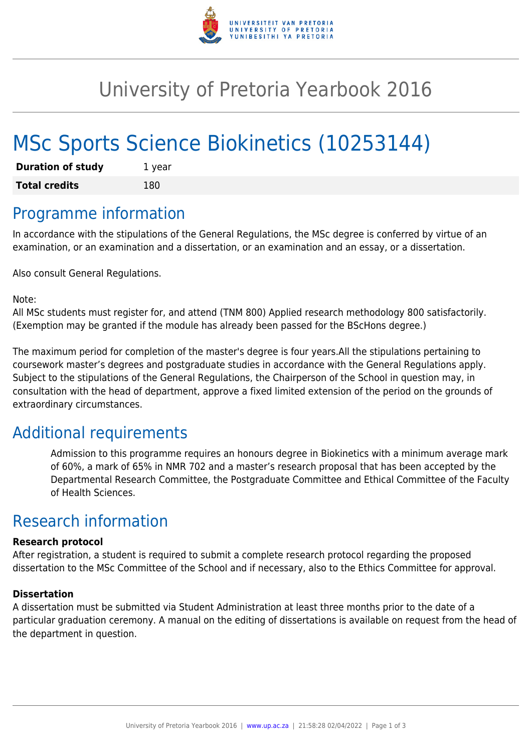

## University of Pretoria Yearbook 2016

# MSc Sports Science Biokinetics (10253144)

| <b>Duration of study</b> | 1 year |
|--------------------------|--------|
| <b>Total credits</b>     | 180    |

### Programme information

In accordance with the stipulations of the General Regulations, the MSc degree is conferred by virtue of an examination, or an examination and a dissertation, or an examination and an essay, or a dissertation.

Also consult General Regulations.

Note:

All MSc students must register for, and attend (TNM 800) Applied research methodology 800 satisfactorily. (Exemption may be granted if the module has already been passed for the BScHons degree.)

The maximum period for completion of the master's degree is four years.All the stipulations pertaining to coursework master's degrees and postgraduate studies in accordance with the General Regulations apply. Subject to the stipulations of the General Regulations, the Chairperson of the School in question may, in consultation with the head of department, approve a fixed limited extension of the period on the grounds of extraordinary circumstances.

### Additional requirements

Admission to this programme requires an honours degree in Biokinetics with a minimum average mark of 60%, a mark of 65% in NMR 702 and a master's research proposal that has been accepted by the Departmental Research Committee, the Postgraduate Committee and Ethical Committee of the Faculty of Health Sciences.

## Research information

#### **Research protocol**

After registration, a student is required to submit a complete research protocol regarding the proposed dissertation to the MSc Committee of the School and if necessary, also to the Ethics Committee for approval.

#### **Dissertation**

A dissertation must be submitted via Student Administration at least three months prior to the date of a particular graduation ceremony. A manual on the editing of dissertations is available on request from the head of the department in question.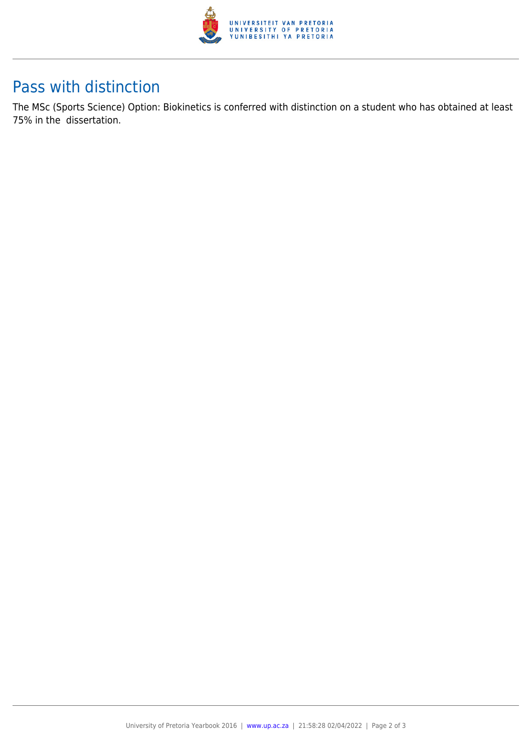

### Pass with distinction

The MSc (Sports Science) Option: Biokinetics is conferred with distinction on a student who has obtained at least 75% in the dissertation.